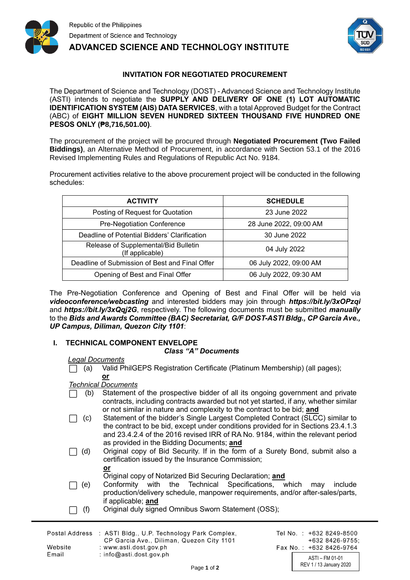



# **INVITATION FOR NEGOTIATED PROCUREMENT**

The Department of Science and Technology (DOST) - Advanced Science and Technology Institute (ASTI) intends to negotiate the **SUPPLY AND DELIVERY OF ONE (1) LOT AUTOMATIC IDENTIFICATION SYSTEM (AIS) DATA SERVICES**, with a total Approved Budget for the Contract (ABC) of **EIGHT MILLION SEVEN HUNDRED SIXTEEN THOUSAND FIVE HUNDRED ONE PESOS ONLY (₱8,716,501.00)**.

The procurement of the project will be procured through **Negotiated Procurement (Two Failed Biddings)**, an Alternative Method of Procurement, in accordance with Section 53.1 of the 2016 Revised Implementing Rules and Regulations of Republic Act No. 9184.

Procurement activities relative to the above procurement project will be conducted in the following schedules:

| <b>ACTIVITY</b>                                         | <b>SCHEDULE</b>        |
|---------------------------------------------------------|------------------------|
| Posting of Request for Quotation                        | 23 June 2022           |
| Pre-Negotiation Conference                              | 28 June 2022, 09:00 AM |
| Deadline of Potential Bidders' Clarification            | 30 June 2022           |
| Release of Supplemental/Bid Bulletin<br>(If applicable) | 04 July 2022           |
| Deadline of Submission of Best and Final Offer          | 06 July 2022, 09:00 AM |
| Opening of Best and Final Offer                         | 06 July 2022, 09:30 AM |

The Pre-Negotiation Conference and Opening of Best and Final Offer will be held via *videoconference/webcasting* and interested bidders may join through *https://bit.ly/3xOPzqi* and *https://bit.ly/3xQqj2G*, respectively. The following documents must be submitted *manually* to the *Bids and Awards Committee (BAC) Secretariat, G/F DOST-ASTI Bldg., CP Garcia Ave., UP Campus, Diliman, Quezon City 1101*:

## **I. TECHNICAL COMPONENT ENVELOPE**

### *Class "A" Documents*

#### *Legal Documents*

⬜ (a) Valid PhilGEPS Registration Certificate (Platinum Membership) (all pages); **or**

### *Technical Documents*

- ⬜ (b) Statement of the prospective bidder of all its ongoing government and private contracts, including contracts awarded but not yet started, if any, whether similar or not similar in nature and complexity to the contract to be bid; **and**
- □ (c) Statement of the bidder's Single Largest Completed Contract (SLCC) similar to the contract to be bid, except under conditions provided for in Sections 23.4.1.3 and 23.4.2.4 of the 2016 revised IRR of RA No. 9184, within the relevant period as provided in the Bidding Documents; **and**
- ⬜ (d) Original copy of Bid Security. If in the form of a Surety Bond, submit also a certification issued by the Insurance Commission;

| v<br>н.<br>. . |  |
|----------------|--|
|                |  |

- Original copy of Notarized Bid Securing Declaration; **and**
- □ (e) Conformity with the Technical Specifications, which may include production/delivery schedule, manpower requirements, and/or after-sales/parts, if applicable; **and**
- ⬜ (f) Original duly signed Omnibus Sworn Statement (OSS);

|                  | Postal Address : ASTI Bldg., U.P. Technology Park Complex,                                       | Tel No. |
|------------------|--------------------------------------------------------------------------------------------------|---------|
| Website<br>Email | CP Garcia Ave., Diliman, Quezon City 1101<br>: www.asti.dost.gov.ph<br>: $info@asti.dost.qov.ph$ | Fax No  |
|                  |                                                                                                  |         |